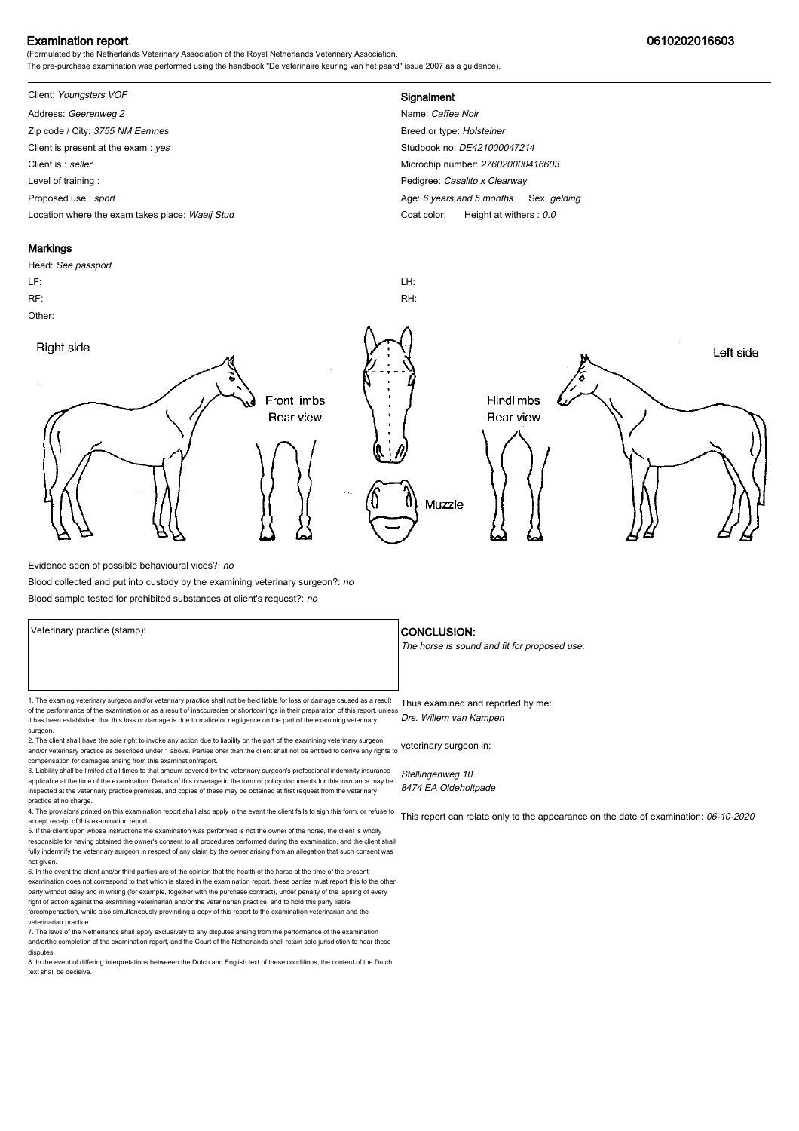## Examination report 0610202016603

(Formulated by the Netherlands Veterinary Association of the Royal Netherlands Veterinary Association. The pre-purchase examination was performed using the handbook "De veterinaire keuring van het paard" issue 2007 as a guidance).

# Client: Youngsters VOF **Signalment**

Address: Geerenweg 2 Name: Caffee Noir Zip code / City: 3755 NM Eemnes Breed or type: Holsteiner Client is present at the exam : yes Studbook no: DE421000047214 Client is : seller Microchip number: 276020000416603 Level of training : **Pedigree:** Casalito x Clearway Proposed use : sport **Age: 6** years and 5 months Sex: gelding Location where the exam takes place: Waaij Stud Coat Color: Height at withers : 0.0

#### Markings

Head: See passport LF: LH: RF: RH: Other: Right side Left side **Front limbs** Hindlimbs Rear view Rear view Muzzle

Evidence seen of possible behavioural vices?: no

Blood collected and put into custody by the examining veterinary surgeon?: no

Blood sample tested for prohibited substances at client's request?: no

1. The examing veterinary surgeon and/or veterinary practice shall not be held liable for loss or damage caused as a result Thus examined and reported by me: of the performance of the examination or as a result of inaccuracies or shortcomings in their preparation of this report, unless it has been established that this loss or damage is due to malice or negligence on the part of the examining veterinary

surgeon. 2. The client shall have the sole right to invoke any action due to liability on the part of the examining veterinary surgeon and/or veterinary practice as described under 1 above. Parties oher than the client shall not be entitled to derive any rights to veterinary surgeon in: compensation for damages arising from this examination/report.

3. Liability shall be limited at all times to that amount covered by the veterinary surgeon's professional indemnity insurance applicable at the time of the examination. Details of this coverage in the form of policy documents for this insruance may be inspected at the veterinary practice premises, and copies of these may be obtained at first request from the veterinary practice at no charge.

4. The provisions printed on this examination report shall also apply in the event the client fails to sign this form, or refuse to accept receipt of this examination report.

5. If the client upon whose instructions the examination was performed is not the owner of the horse, the client is wholly responsible for having obtained the owner's consent to all procedures performed during the examination, and the client shall fully indemnify the veterinary surgeon in respect of any claim by the owner arising from an allegation that such consent was not given.

6. In the event the client and/or third parties are of the opinion that the health of the horse at the time of the present examination does not correspond to that which is stated in the examination report, these parties must report this to the other party without delay and in writing (for example, together with the purchase contract), under penalty of the lapsing of every<br>right of action against the examining veterinarian and/or the veterinarian practice, and to hold forcompensation, while also simultaneously provinding a copy of this report to the examination veterinarian and th veterinarian practice.

7. The laws of the Netherlands shall apply exclusively to any disputes arising from the performance of the examination and/orthe completion of the examination report, and the Court of the Netherlands shall retain sole jurisdiction to hear these disputes.

8. In the event of differing interpretations betweeen the Dutch and English text of these conditions, the content of the Dutch text shall be decisive.

#### Veterinary practice (stamp):  $\overline{\phantom{a}}$  CONCLUSION:

The horse is sound and fit for proposed use.

Drs. Willem van Kampen

Stellingenweg 10 8474 EA Oldeholtpade

This report can relate only to the appearance on the date of examination: 06-10-2020